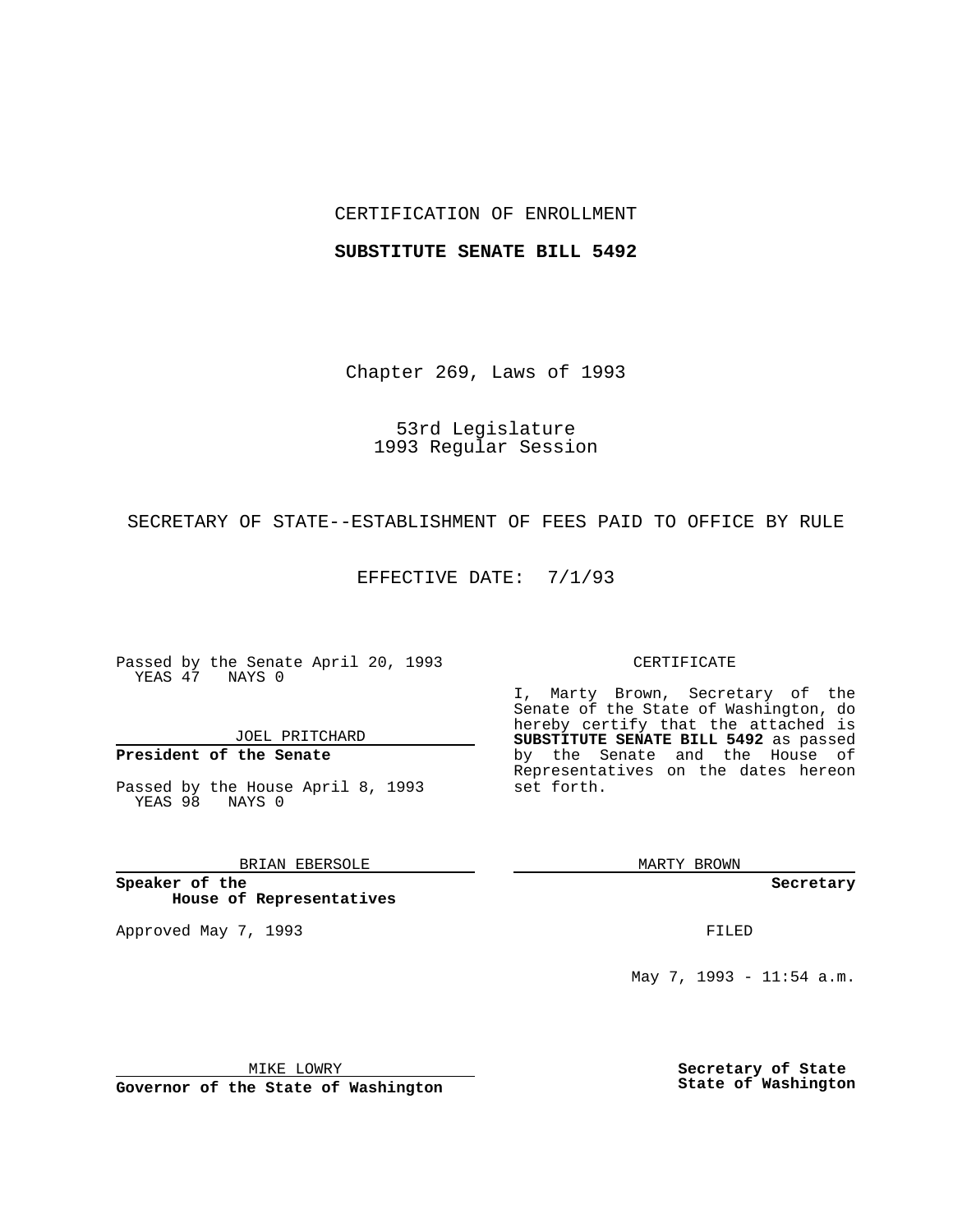## CERTIFICATION OF ENROLLMENT

#### **SUBSTITUTE SENATE BILL 5492**

Chapter 269, Laws of 1993

53rd Legislature 1993 Regular Session

SECRETARY OF STATE--ESTABLISHMENT OF FEES PAID TO OFFICE BY RULE

EFFECTIVE DATE: 7/1/93

Passed by the Senate April 20, 1993 YEAS 47 NAYS 0

JOEL PRITCHARD

**President of the Senate**

Passed by the House April 8, 1993 YEAS 98 NAYS 0

BRIAN EBERSOLE

**Speaker of the House of Representatives**

Approved May 7, 1993 **FILED** 

#### CERTIFICATE

I, Marty Brown, Secretary of the Senate of the State of Washington, do hereby certify that the attached is **SUBSTITUTE SENATE BILL 5492** as passed by the Senate and the House of Representatives on the dates hereon set forth.

MARTY BROWN

**Secretary**

May 7, 1993 - 11:54 a.m.

MIKE LOWRY

**Governor of the State of Washington**

**Secretary of State State of Washington**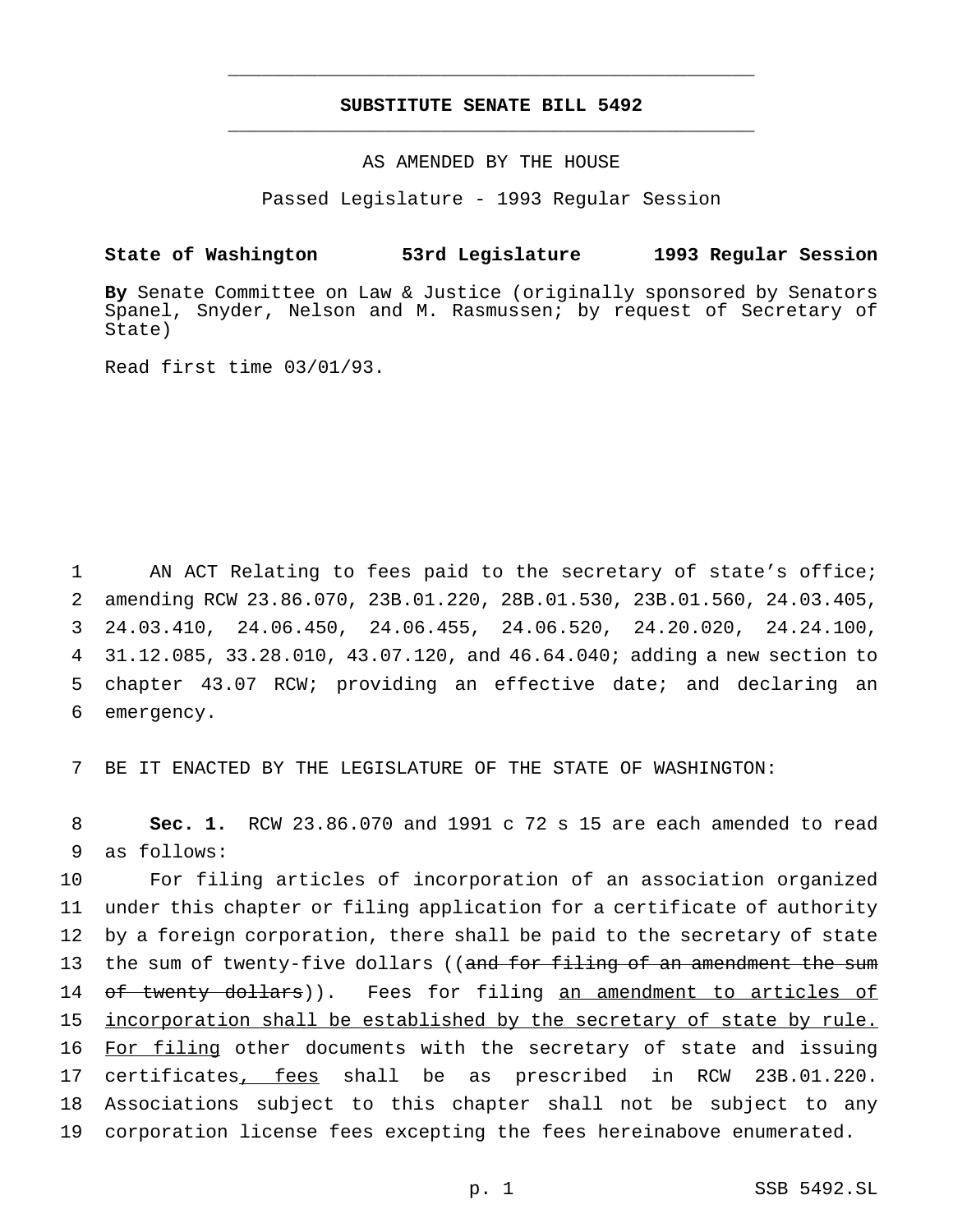# **SUBSTITUTE SENATE BILL 5492** \_\_\_\_\_\_\_\_\_\_\_\_\_\_\_\_\_\_\_\_\_\_\_\_\_\_\_\_\_\_\_\_\_\_\_\_\_\_\_\_\_\_\_\_\_\_\_

\_\_\_\_\_\_\_\_\_\_\_\_\_\_\_\_\_\_\_\_\_\_\_\_\_\_\_\_\_\_\_\_\_\_\_\_\_\_\_\_\_\_\_\_\_\_\_

## AS AMENDED BY THE HOUSE

Passed Legislature - 1993 Regular Session

# **State of Washington 53rd Legislature 1993 Regular Session**

**By** Senate Committee on Law & Justice (originally sponsored by Senators Spanel, Snyder, Nelson and M. Rasmussen; by request of Secretary of State)

Read first time 03/01/93.

 AN ACT Relating to fees paid to the secretary of state's office; amending RCW 23.86.070, 23B.01.220, 28B.01.530, 23B.01.560, 24.03.405, 24.03.410, 24.06.450, 24.06.455, 24.06.520, 24.20.020, 24.24.100, 31.12.085, 33.28.010, 43.07.120, and 46.64.040; adding a new section to chapter 43.07 RCW; providing an effective date; and declaring an emergency.

7 BE IT ENACTED BY THE LEGISLATURE OF THE STATE OF WASHINGTON:

8 **Sec. 1.** RCW 23.86.070 and 1991 c 72 s 15 are each amended to read 9 as follows:

10 For filing articles of incorporation of an association organized 11 under this chapter or filing application for a certificate of authority 12 by a foreign corporation, there shall be paid to the secretary of state 13 the sum of twenty-five dollars ((and for filing of an amendment the sum 14 of twenty dollars)). Fees for filing an amendment to articles of 15 incorporation shall be established by the secretary of state by rule. 16 For filing other documents with the secretary of state and issuing 17 certificates, fees shall be as prescribed in RCW 23B.01.220. 18 Associations subject to this chapter shall not be subject to any 19 corporation license fees excepting the fees hereinabove enumerated.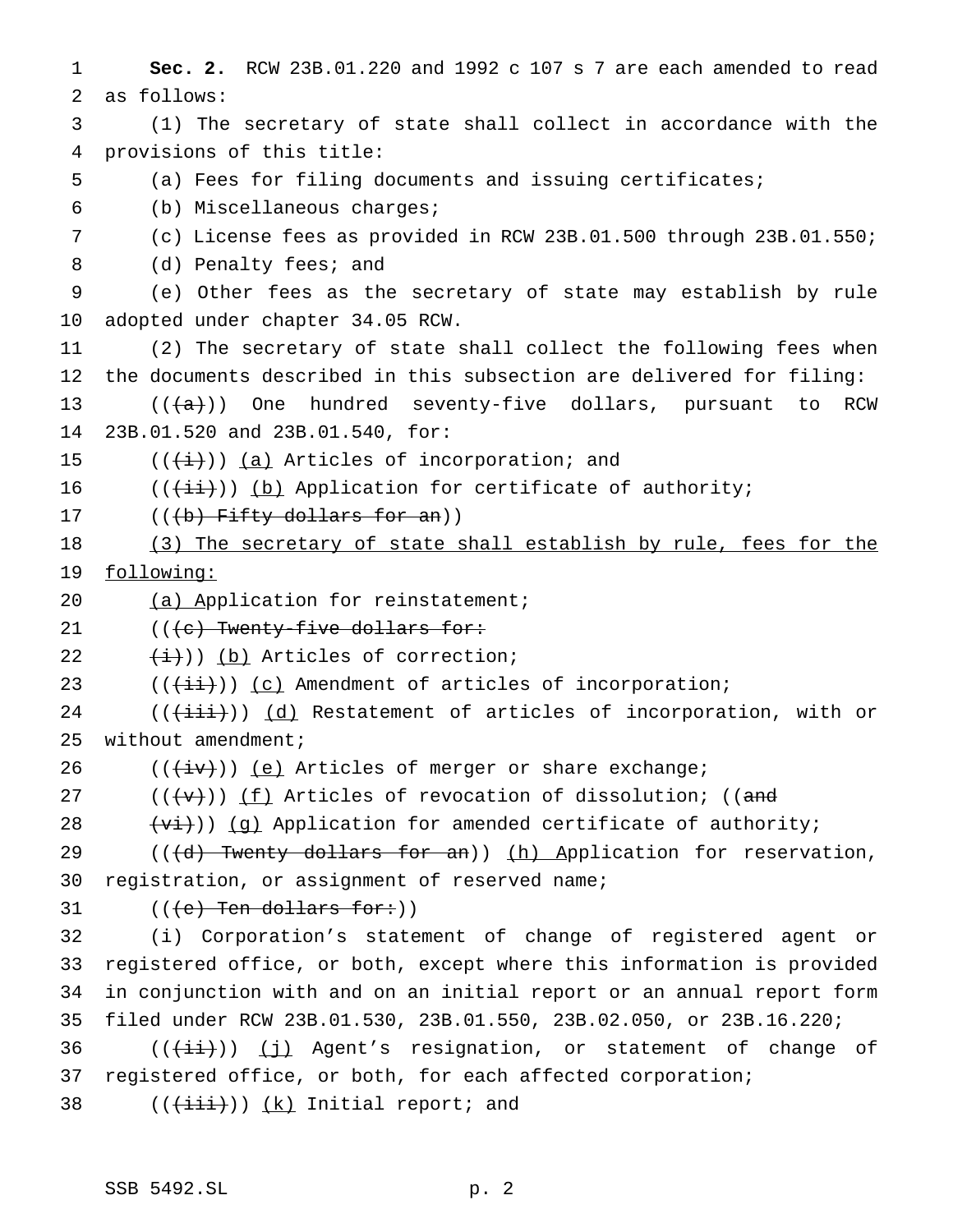**Sec. 2.** RCW 23B.01.220 and 1992 c 107 s 7 are each amended to read as follows: (1) The secretary of state shall collect in accordance with the provisions of this title: (a) Fees for filing documents and issuing certificates; (b) Miscellaneous charges; (c) License fees as provided in RCW 23B.01.500 through 23B.01.550; 8 (d) Penalty fees; and (e) Other fees as the secretary of state may establish by rule adopted under chapter 34.05 RCW. (2) The secretary of state shall collect the following fees when the documents described in this subsection are delivered for filing:  $((+a))$  One hundred seventy-five dollars, pursuant to RCW 23B.01.520 and 23B.01.540, for:  $((\overleftrightarrow{t}))(a)$  Articles of incorporation; and  $((\overrightarrow{\pm i}))$  (b) Application for certificate of authority;  $((b)$  Fifty dollars for an)) (3) The secretary of state shall establish by rule, fees for the following: 20 (a) Application for reinstatement;  $((e)$  Twenty-five dollars for:  $(\pm)$ )) (b) Articles of correction;  $((\overleftrightarrow{\text{iii}}))$  (c) Amendment of articles of incorporation; (( $\overleftrightarrow{(\text{+iii)}}$ )) (d) Restatement of articles of incorporation, with or without amendment;  $((\overleftrightarrow{iv}))$  (e) Articles of merger or share exchange; 27 ( $(\overline{\mathbf{v}})$ ) (f) Articles of revocation of dissolution; ((and  $(v_i)(q)$  Application for amended certificate of authority; 29 (((d) Twenty dollars for an)) (h) Application for reservation, registration, or assignment of reserved name;  $((e)$  Ten dollars for: (i) Corporation's statement of change of registered agent or registered office, or both, except where this information is provided in conjunction with and on an initial report or an annual report form filed under RCW 23B.01.530, 23B.01.550, 23B.02.050, or 23B.16.220;  $((\overrightarrow{\text{iii}}))$  (j) Agent's resignation, or statement of change of registered office, or both, for each affected corporation;  $((\overrightarrow{\text{iii}}))$   $(k)$  Initial report; and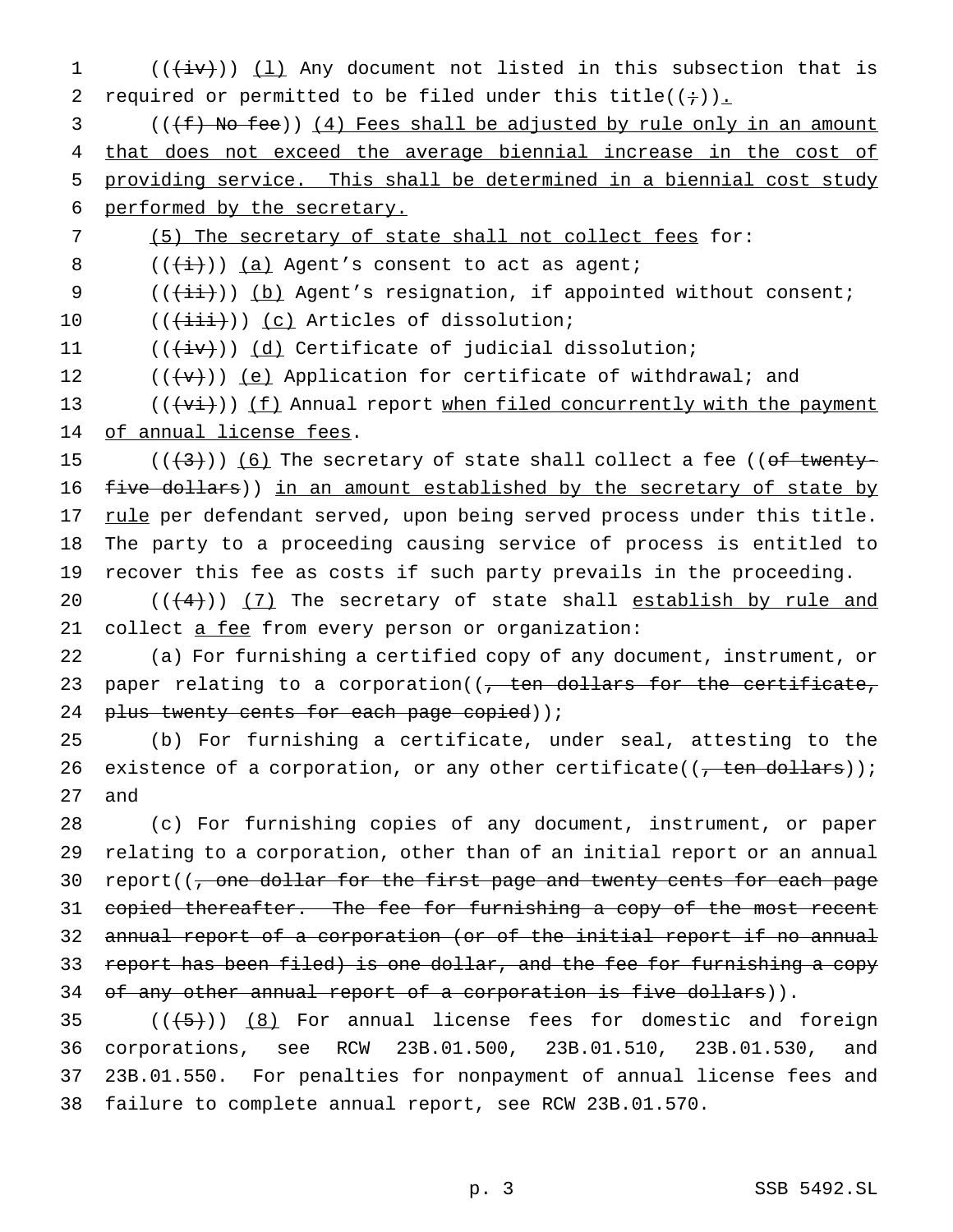$((\overleftrightarrow{iv}))$   $(1)$  Any document not listed in this subsection that is 2 required or permitted to be filed under this title( $(i+)$ ). 3 (((f) No fee)) (4) Fees shall be adjusted by rule only in an amount that does not exceed the average biennial increase in the cost of providing service. This shall be determined in a biennial cost study performed by the secretary. (5) The secretary of state shall not collect fees for:  $((\overrightarrow{i}))(a)$  Agent's consent to act as agent;  $((\overrightarrow{\pm}))$  (b) Agent's resignation, if appointed without consent; 10 (( $(\overrightarrow{\text{iii}}))$  (c) Articles of dissolution;  $((\overleftrightarrow{iv}))$   $(d)$  Certificate of judicial dissolution;  $((\forall +))$  (e) Application for certificate of withdrawal; and  $((\overrightarrow{v_i}))$  (f) Annual report when filed concurrently with the payment 14 of annual license fees.  $((+3))$   $(6)$  The secretary of state shall collect a fee ((of twenty-16 five dollars)) in an amount established by the secretary of state by 17 rule per defendant served, upon being served process under this title. The party to a proceeding causing service of process is entitled to recover this fee as costs if such party prevails in the proceeding.  $((4+))$  (7) The secretary of state shall establish by rule and 21 collect a fee from every person or organization: (a) For furnishing a certified copy of any document, instrument, or 23 paper relating to a corporation( $\sqrt{ }$  ten dollars for the certificate, 24 plus twenty cents for each page copied)); (b) For furnishing a certificate, under seal, attesting to the 26 existence of a corporation, or any other certificate( $($ , ten dollars)); 27 and (c) For furnishing copies of any document, instrument, or paper relating to a corporation, other than of an initial report or an annual 30 report((, one dollar for the first page and twenty cents for each page 31 copied thereafter. The fee for furnishing a copy of the most recent annual report of a corporation (or of the initial report if no annual report has been filed) is one dollar, and the fee for furnishing a copy 34 of any other annual report of a corporation is five dollars)).  $((\lbrace 5 \rbrace))$  (8) For annual license fees for domestic and foreign corporations, see RCW 23B.01.500, 23B.01.510, 23B.01.530, and 23B.01.550. For penalties for nonpayment of annual license fees and failure to complete annual report, see RCW 23B.01.570.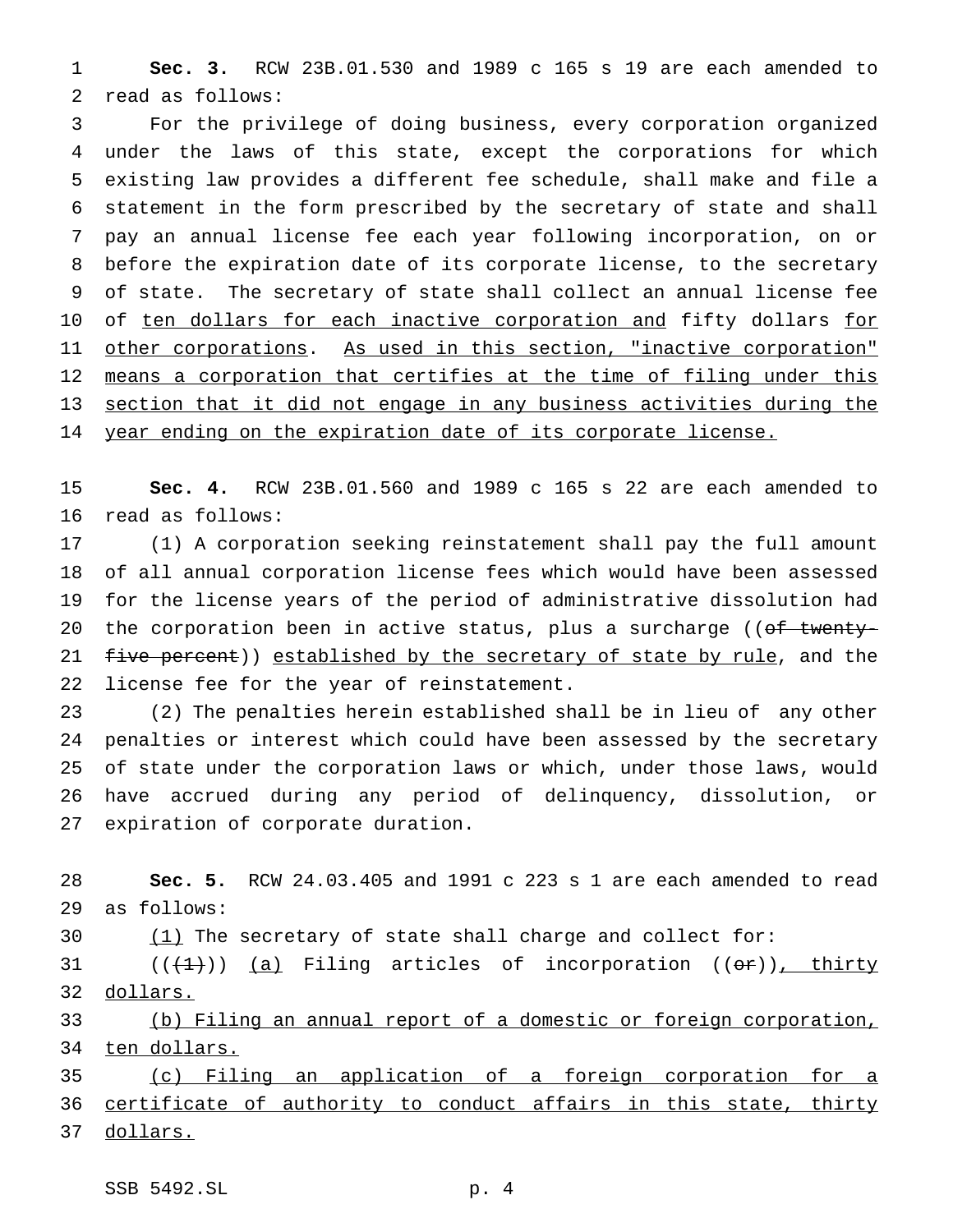**Sec. 3.** RCW 23B.01.530 and 1989 c 165 s 19 are each amended to read as follows:

 For the privilege of doing business, every corporation organized under the laws of this state, except the corporations for which existing law provides a different fee schedule, shall make and file a statement in the form prescribed by the secretary of state and shall pay an annual license fee each year following incorporation, on or before the expiration date of its corporate license, to the secretary of state. The secretary of state shall collect an annual license fee 10 of ten dollars for each inactive corporation and fifty dollars for other corporations. As used in this section, "inactive corporation" 12 means a corporation that certifies at the time of filing under this section that it did not engage in any business activities during the 14 year ending on the expiration date of its corporate license.

 **Sec. 4.** RCW 23B.01.560 and 1989 c 165 s 22 are each amended to read as follows:

 (1) A corporation seeking reinstatement shall pay the full amount of all annual corporation license fees which would have been assessed for the license years of the period of administrative dissolution had 20 the corporation been in active status, plus a surcharge ((of twenty-21 five percent)) established by the secretary of state by rule, and the license fee for the year of reinstatement.

 (2) The penalties herein established shall be in lieu of any other penalties or interest which could have been assessed by the secretary of state under the corporation laws or which, under those laws, would have accrued during any period of delinquency, dissolution, or expiration of corporate duration.

 **Sec. 5.** RCW 24.03.405 and 1991 c 223 s 1 are each amended to read as follows:

(1) The secretary of state shall charge and collect for:

 $((+1))$  (a) Filing articles of incorporation  $((\theta \cdot \hat{r}))$ , thirty 32 dollars.

 (b) Filing an annual report of a domestic or foreign corporation, 34 ten dollars.

 (c) Filing an application of a foreign corporation for a 36 certificate of authority to conduct affairs in this state, thirty dollars.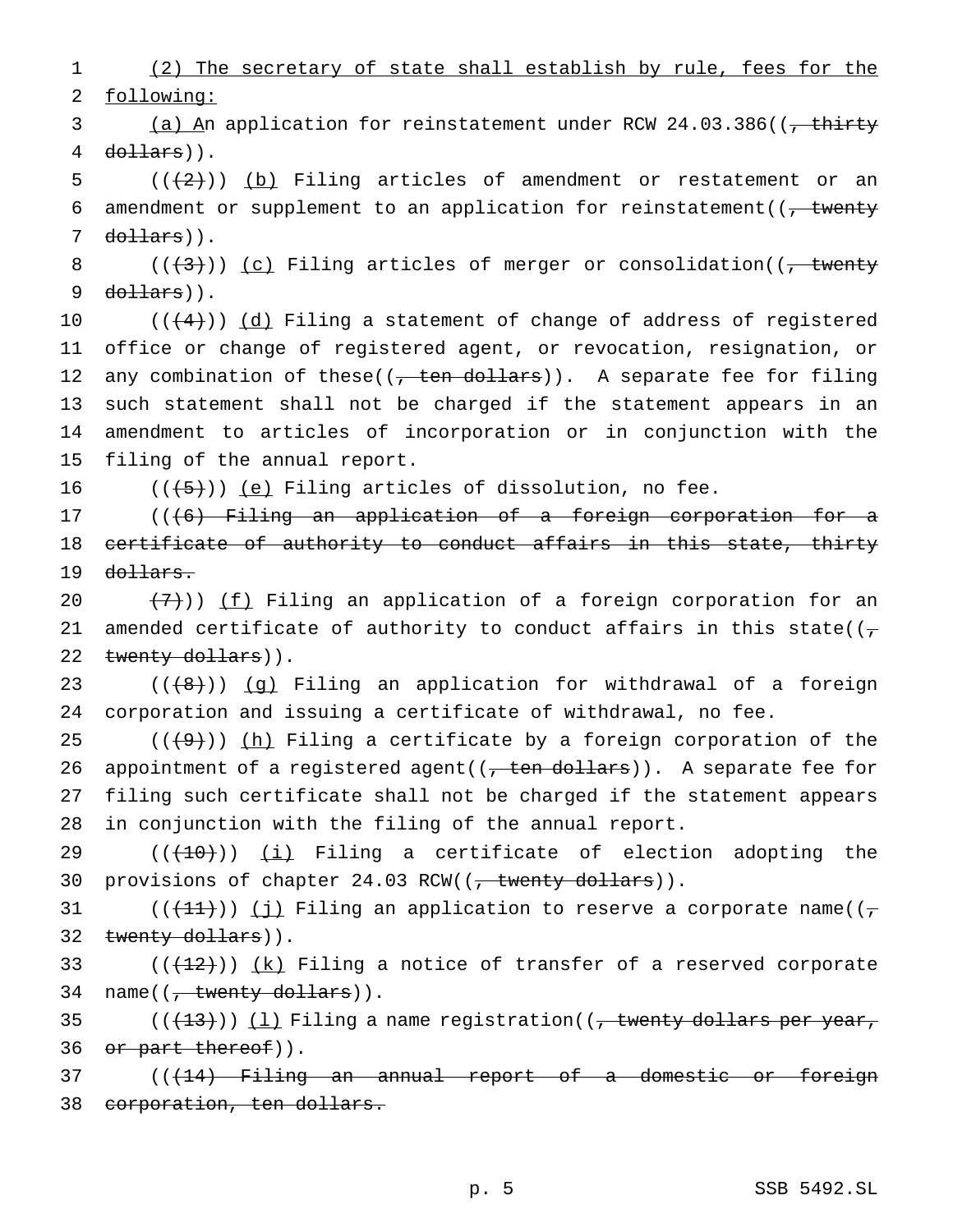1 (2) The secretary of state shall establish by rule, fees for the 2 following:

3 (a) An application for reinstatement under RCW 24.03.386((<del>, thirty</del> 4 dollars)).

5  $((+2))$  (b) Filing articles of amendment or restatement or an 6 amendment or supplement to an application for reinstatement( $\left(7, \frac{\text{twenty}}{\text{t}^2}\right)$  $7$  dollars)).

8  $((+3))$   $(c)$  Filing articles of merger or consolidation( $(-$  twenty  $9$  dollars)).

 $((+4))$   $(d)$  Filing a statement of change of address of registered office or change of registered agent, or revocation, resignation, or 12 any combination of these( $(\frac{1}{1}$  ten dollars)). A separate fee for filing such statement shall not be charged if the statement appears in an amendment to articles of incorporation or in conjunction with the filing of the annual report.

16  $((+5))$  (e) Filing articles of dissolution, no fee.

17 ((<del>(6) Filing an application of a foreign corporation for a</del> 18 certificate of authority to conduct affairs in this state, thirty 19 <del>dollars.</del>

20  $(7)$ )) <u>(f)</u> Filing an application of a foreign corporation for an 21 amended certificate of authority to conduct affairs in this state( $(\tau$ 22 twenty dollars)).

23  $((+8))$   $(g)$  Filing an application for withdrawal of a foreign 24 corporation and issuing a certificate of withdrawal, no fee.

 $((+9))$  (h) Filing a certificate by a foreign corporation of the 26 appointment of a registered agent( $(\tau$  ten dollars)). A separate fee for filing such certificate shall not be charged if the statement appears in conjunction with the filing of the annual report.

29  $((+10))$  (i) Filing a certificate of election adopting the 30 provisions of chapter 24.03 RCW((<del>, twenty dollars</del>)).

31 (( $(11)$ )) (j) Filing an application to reserve a corporate name(( $\tau$ 32 twenty dollars)).

33  $((+12))$   $(k)$  Filing a notice of transfer of a reserved corporate 34 name((, twenty dollars)).

35  $((+13))$   $(1)$  Filing a name registration((, twenty dollars per year, 36 or part thereof)).

37 (( $(14)$  Filing an annual report of a domestic or foreign 38 corporation, ten dollars.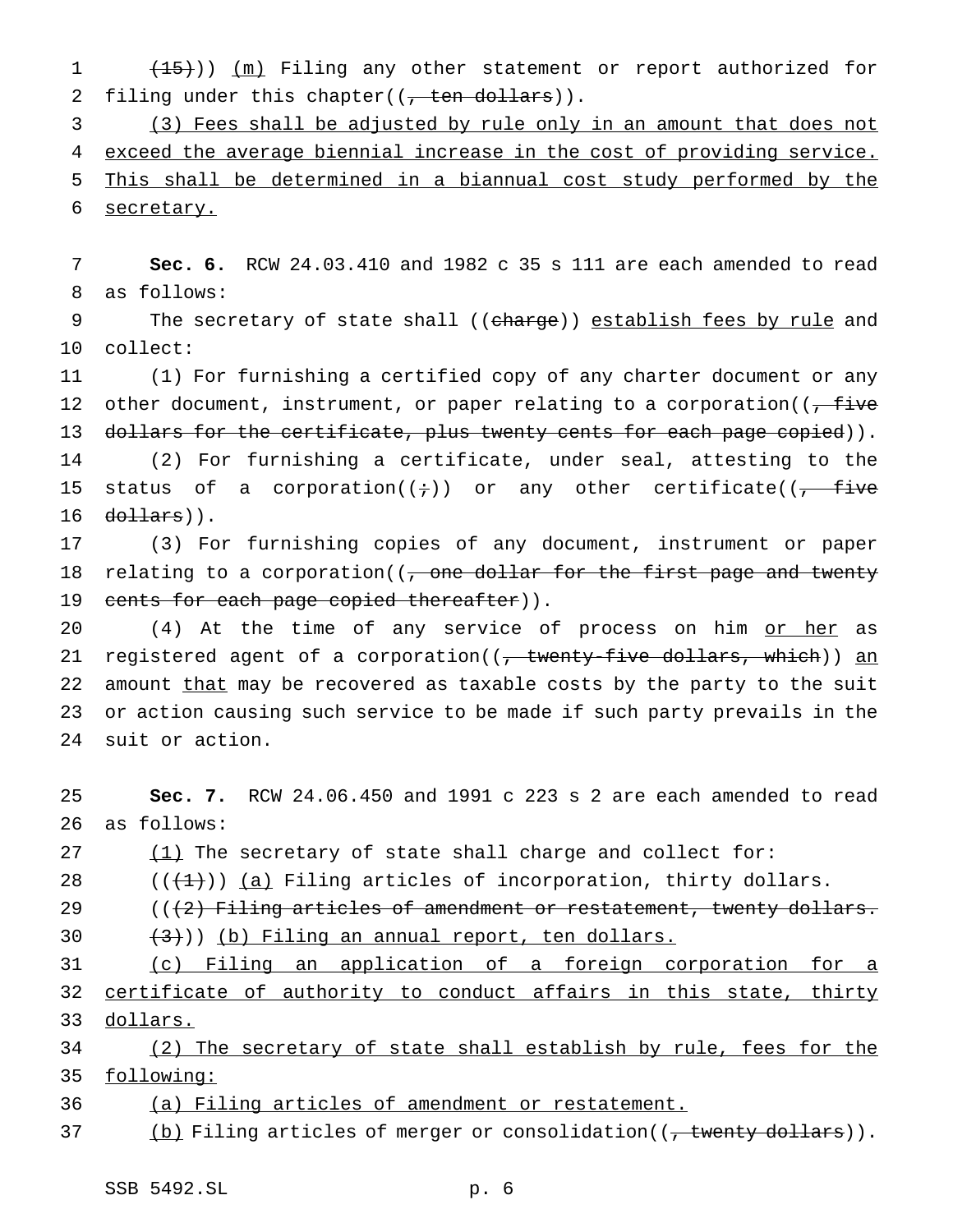1 (15))) (m) Filing any other statement or report authorized for 2 filing under this chapter( $(\frac{1}{1 + \epsilon})$ ).

 (3) Fees shall be adjusted by rule only in an amount that does not exceed the average biennial increase in the cost of providing service. This shall be determined in a biannual cost study performed by the secretary.

7 **Sec. 6.** RCW 24.03.410 and 1982 c 35 s 111 are each amended to read 8 as follows:

9 The secretary of state shall ((charge)) establish fees by rule and 10 collect:

11 (1) For furnishing a certified copy of any charter document or any 12 other document, instrument, or paper relating to a corporation( $\sqrt{f_{\text{t}}}$ 13 dollars for the certificate, plus twenty cents for each page copied)). 14 (2) For furnishing a certificate, under seal, attesting to the 15 status of a corporation( $(+)$ ) or any other certificate( $(-)$  five  $16$  dollars)).

17 (3) For furnishing copies of any document, instrument or paper 18 relating to a corporation( $\sqrt{ }$ , one dollar for the first page and twenty 19 cents for each page copied thereafter)).

20 (4) At the time of any service of process on him or her as 21 registered agent of a corporation( $(-$  twenty-five dollars, which)) an 22 amount that may be recovered as taxable costs by the party to the suit 23 or action causing such service to be made if such party prevails in the 24 suit or action.

25 **Sec. 7.** RCW 24.06.450 and 1991 c 223 s 2 are each amended to read 26 as follows:

27  $(1)$  The secretary of state shall charge and collect for:

28  $((+1))$   $(a)$  Filing articles of incorporation, thirty dollars.

29  $((2)$  Filing articles of amendment or restatement, twenty dollars.

 $(30 + (3))$ ) (b) Filing an annual report, ten dollars.

31 (c) Filing an application of a foreign corporation for a 32 certificate of authority to conduct affairs in this state, thirty 33 dollars.

34 (2) The secretary of state shall establish by rule, fees for the 35 following:

36 (a) Filing articles of amendment or restatement.

37 (b) Filing articles of merger or consolidation((<del>, twenty dollars</del>)).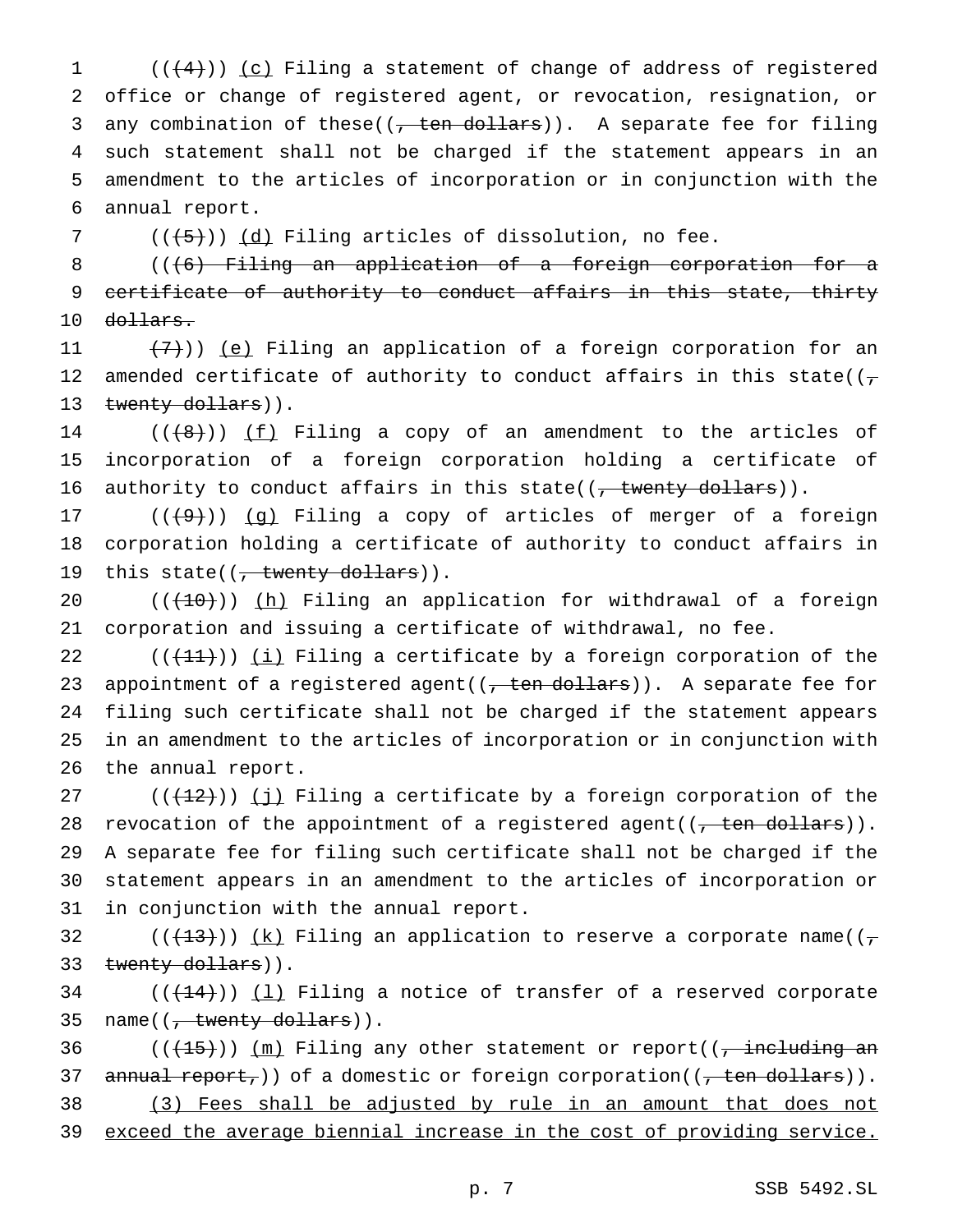(( $(4)$ )) (c) Filing a statement of change of address of registered office or change of registered agent, or revocation, resignation, or 3 any combination of these( $(7 + en$  dollars)). A separate fee for filing such statement shall not be charged if the statement appears in an amendment to the articles of incorporation or in conjunction with the annual report.

7  $((+5))$   $(d)$  Filing articles of dissolution, no fee.

8 (((6) Filing an application of a foreign corporation for a 9 certificate of authority to conduct affairs in this state, thirty 10 <del>dollars.</del>

11  $(7)$ )) (e) Filing an application of a foreign corporation for an 12 amended certificate of authority to conduct affairs in this state( $(\tau$ 13 twenty dollars)).

14  $((+8))$   $(f)$  Filing a copy of an amendment to the articles of 15 incorporation of a foreign corporation holding a certificate of 16 authority to conduct affairs in this state( $(7 + 1)$  twenty dollars)).

17  $((+9))$   $(g)$  Filing a copy of articles of merger of a foreign 18 corporation holding a certificate of authority to conduct affairs in 19 this state((, twenty dollars)).

20 (( $(10)$ )) (h) Filing an application for withdrawal of a foreign 21 corporation and issuing a certificate of withdrawal, no fee.

 $((+11))$  (i) Filing a certificate by a foreign corporation of the 23 appointment of a registered agent( $(\tau$  ten dollars)). A separate fee for filing such certificate shall not be charged if the statement appears in an amendment to the articles of incorporation or in conjunction with the annual report.

27 ( $(\frac{12}{12})$ ) (j) Filing a certificate by a foreign corporation of the 28 revocation of the appointment of a registered agent( $(\tau$  ten dollars)). 29 A separate fee for filing such certificate shall not be charged if the 30 statement appears in an amendment to the articles of incorporation or 31 in conjunction with the annual report.

32 (( $(\frac{13}{7})$ ) (k) Filing an application to reserve a corporate name(( $\tau$ 33 twenty dollars)).

 $34$  (( $(14)$ )) (1) Filing a notice of transfer of a reserved corporate 35 name((<del>, twenty dollars</del>)).

36  $((+15))$   $(m)$  Filing any other statement or report((<del>, including an</del> 37 annual report,)) of a domestic or foreign corporation( $(\tau$  ten dollars)). 38 (3) Fees shall be adjusted by rule in an amount that does not

39 exceed the average biennial increase in the cost of providing service.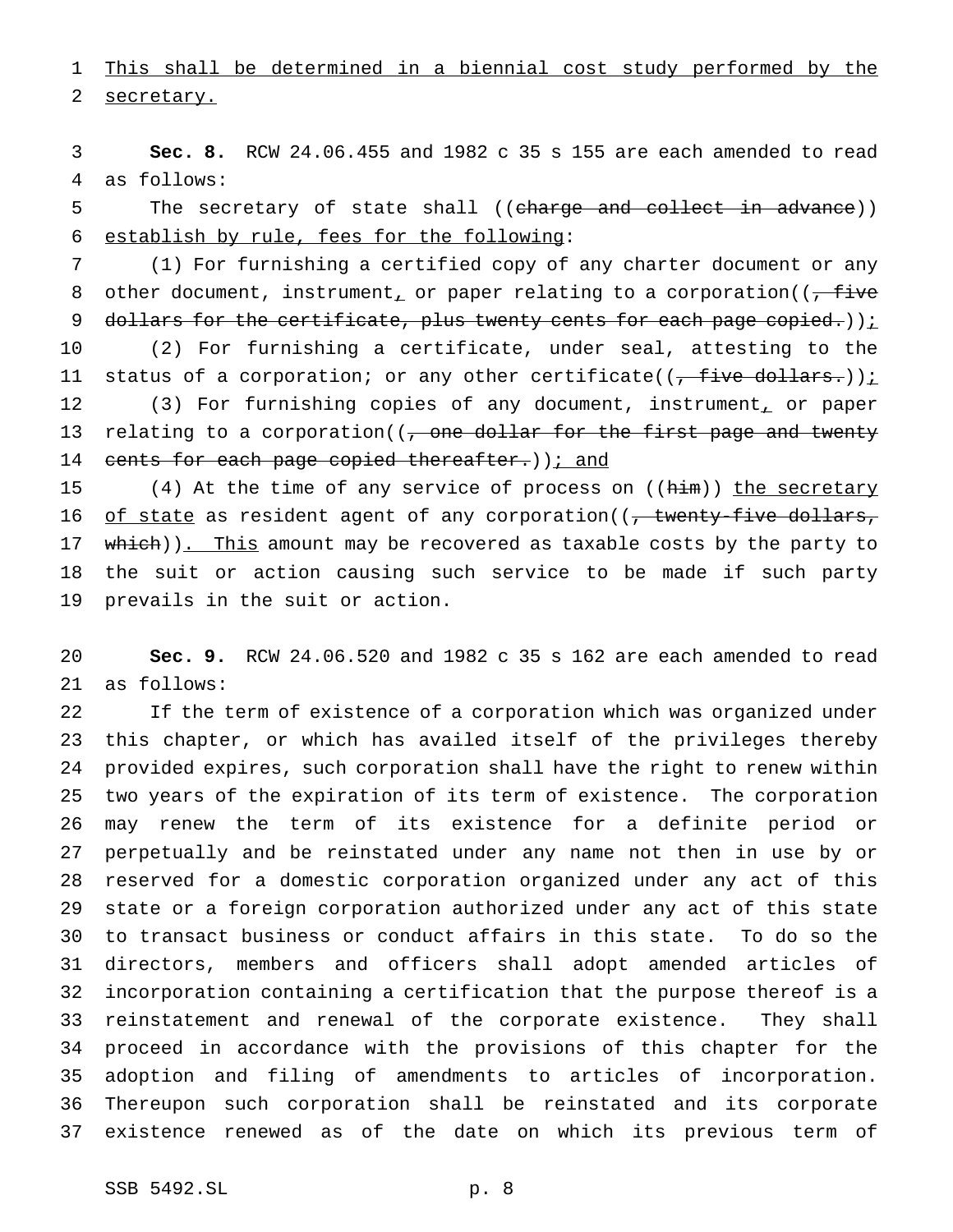1 This shall be determined in a biennial cost study performed by the secretary.

 **Sec. 8.** RCW 24.06.455 and 1982 c 35 s 155 are each amended to read as follows:

5 The secretary of state shall ((charge and collect in advance)) establish by rule, fees for the following:

 (1) For furnishing a certified copy of any charter document or any 8 other document, instrument, or paper relating to a corporation( $(-$ five 9 dollars for the certificate, plus twenty cents for each page copied.)) $i$  (2) For furnishing a certificate, under seal, attesting to the 11 status of a corporation; or any other certificate( $(\frac{1}{1 + \text{five dollars.}})$ ); 12 (3) For furnishing copies of any document, instrument, or paper 13 relating to a corporation((, one dollar for the first page and twenty 14 cents for each page copied thereafter.) ) i and

15 (4) At the time of any service of process on  $(\text{Him})$ ) the secretary 16 of state as resident agent of any corporation( $(-$  twenty-five dollars, 17 which)). This amount may be recovered as taxable costs by the party to the suit or action causing such service to be made if such party prevails in the suit or action.

 **Sec. 9.** RCW 24.06.520 and 1982 c 35 s 162 are each amended to read as follows:

 If the term of existence of a corporation which was organized under this chapter, or which has availed itself of the privileges thereby provided expires, such corporation shall have the right to renew within two years of the expiration of its term of existence. The corporation may renew the term of its existence for a definite period or perpetually and be reinstated under any name not then in use by or reserved for a domestic corporation organized under any act of this state or a foreign corporation authorized under any act of this state to transact business or conduct affairs in this state. To do so the directors, members and officers shall adopt amended articles of incorporation containing a certification that the purpose thereof is a reinstatement and renewal of the corporate existence. They shall proceed in accordance with the provisions of this chapter for the adoption and filing of amendments to articles of incorporation. Thereupon such corporation shall be reinstated and its corporate existence renewed as of the date on which its previous term of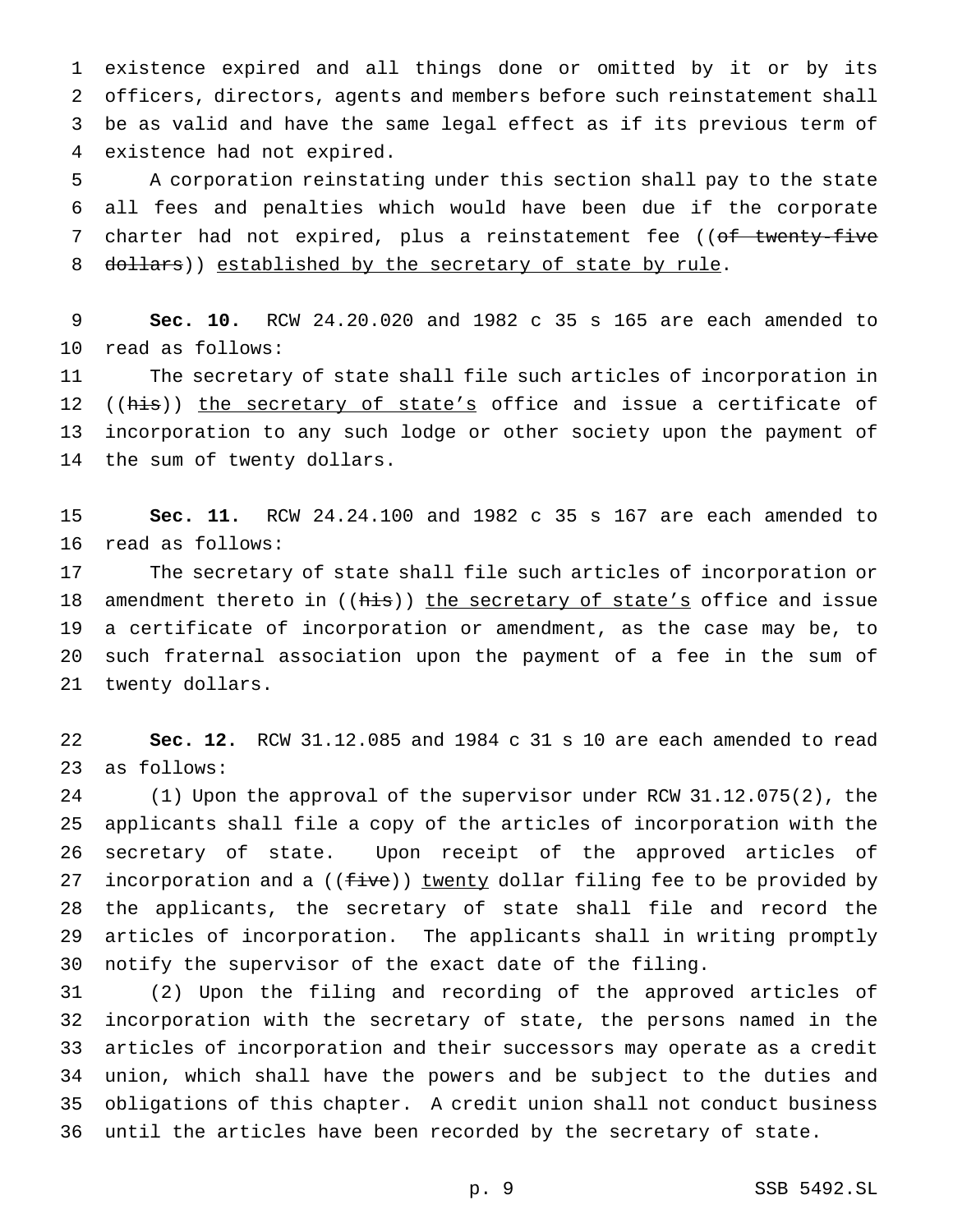existence expired and all things done or omitted by it or by its officers, directors, agents and members before such reinstatement shall be as valid and have the same legal effect as if its previous term of existence had not expired.

 A corporation reinstating under this section shall pay to the state all fees and penalties which would have been due if the corporate 7 charter had not expired, plus a reinstatement fee ((of twenty-five 8 dollars)) established by the secretary of state by rule.

 **Sec. 10.** RCW 24.20.020 and 1982 c 35 s 165 are each amended to read as follows:

 The secretary of state shall file such articles of incorporation in 12 ((his)) the secretary of state's office and issue a certificate of incorporation to any such lodge or other society upon the payment of the sum of twenty dollars.

 **Sec. 11.** RCW 24.24.100 and 1982 c 35 s 167 are each amended to read as follows:

 The secretary of state shall file such articles of incorporation or 18 amendment thereto in ((his)) the secretary of state's office and issue a certificate of incorporation or amendment, as the case may be, to such fraternal association upon the payment of a fee in the sum of twenty dollars.

 **Sec. 12.** RCW 31.12.085 and 1984 c 31 s 10 are each amended to read as follows:

 (1) Upon the approval of the supervisor under RCW 31.12.075(2), the applicants shall file a copy of the articles of incorporation with the secretary of state. Upon receipt of the approved articles of 27 incorporation and a ((five)) twenty dollar filing fee to be provided by the applicants, the secretary of state shall file and record the articles of incorporation. The applicants shall in writing promptly notify the supervisor of the exact date of the filing.

 (2) Upon the filing and recording of the approved articles of incorporation with the secretary of state, the persons named in the articles of incorporation and their successors may operate as a credit union, which shall have the powers and be subject to the duties and obligations of this chapter. A credit union shall not conduct business until the articles have been recorded by the secretary of state.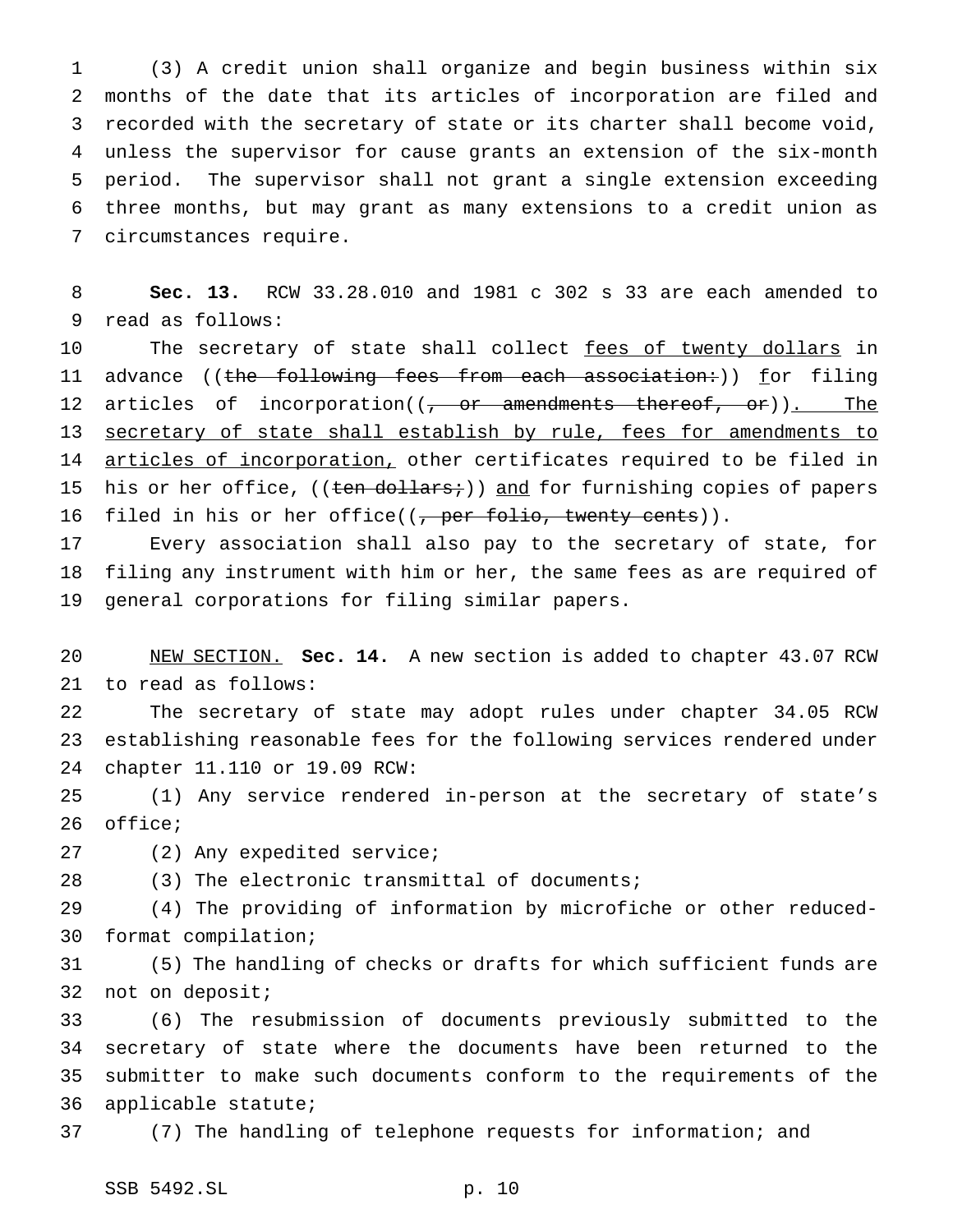(3) A credit union shall organize and begin business within six months of the date that its articles of incorporation are filed and recorded with the secretary of state or its charter shall become void, unless the supervisor for cause grants an extension of the six-month period. The supervisor shall not grant a single extension exceeding three months, but may grant as many extensions to a credit union as circumstances require.

 **Sec. 13.** RCW 33.28.010 and 1981 c 302 s 33 are each amended to read as follows:

10 The secretary of state shall collect fees of twenty dollars in 11 advance ((the following fees from each association:)) for filing 12 articles of incorporation((<del>, or amendments thereof, or</del>)). The 13 secretary of state shall establish by rule, fees for amendments to 14 articles of incorporation, other certificates required to be filed in 15 his or her office, ((ten dollars;)) and for furnishing copies of papers 16 filed in his or her office( $(\frac{1}{\sqrt{2}})$  per folio, twenty cents)).

 Every association shall also pay to the secretary of state, for filing any instrument with him or her, the same fees as are required of general corporations for filing similar papers.

 NEW SECTION. **Sec. 14.** A new section is added to chapter 43.07 RCW to read as follows:

 The secretary of state may adopt rules under chapter 34.05 RCW establishing reasonable fees for the following services rendered under chapter 11.110 or 19.09 RCW:

 (1) Any service rendered in-person at the secretary of state's office;

(2) Any expedited service;

(3) The electronic transmittal of documents;

 (4) The providing of information by microfiche or other reduced-format compilation;

 (5) The handling of checks or drafts for which sufficient funds are not on deposit;

 (6) The resubmission of documents previously submitted to the secretary of state where the documents have been returned to the submitter to make such documents conform to the requirements of the applicable statute;

(7) The handling of telephone requests for information; and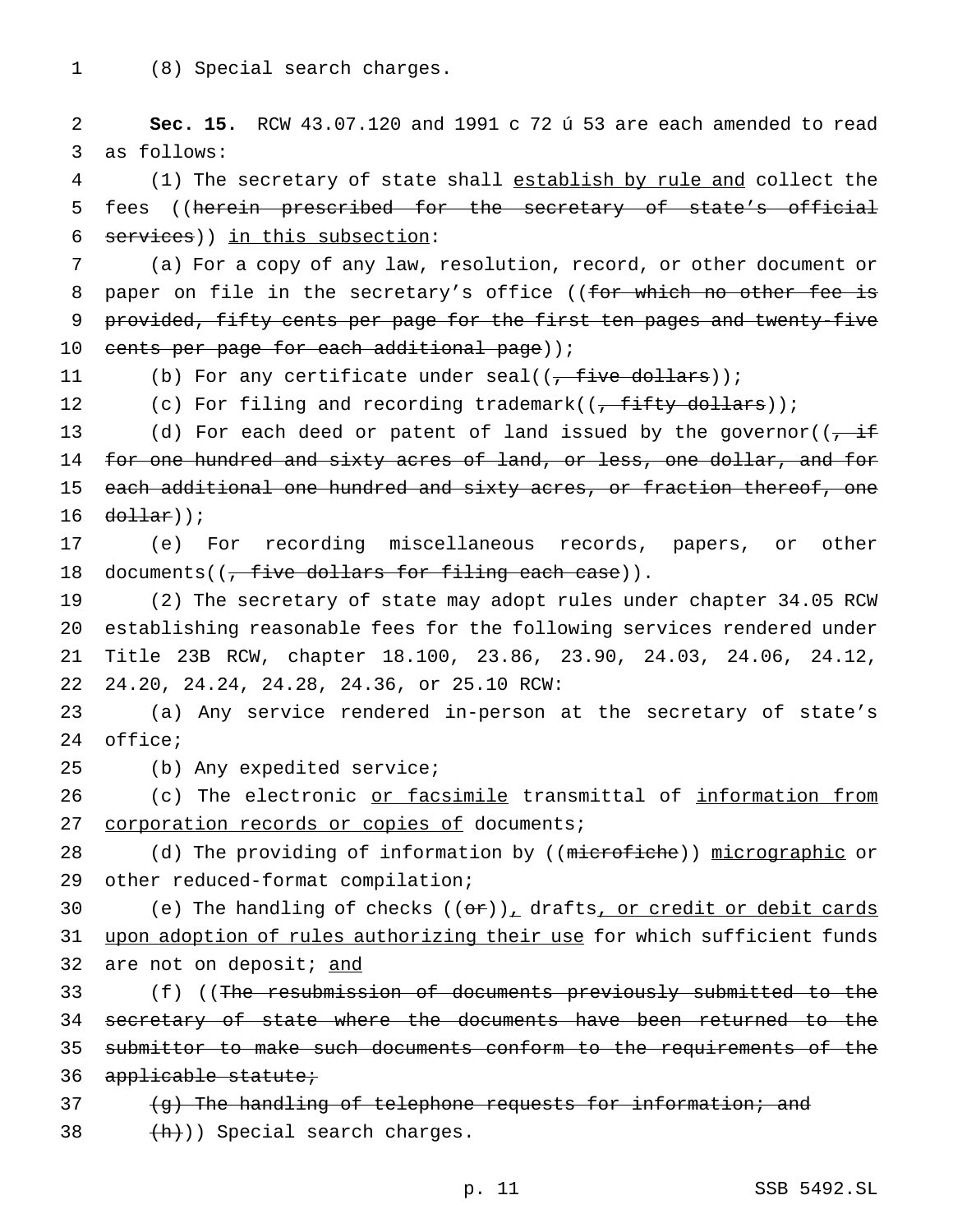1 (8) Special search charges.

2 **Sec. 15.** RCW 43.07.120 and 1991 c 72 ú 53 are each amended to read 3 as follows:

4 (1) The secretary of state shall establish by rule and collect the 5 fees ((herein prescribed for the secretary of state's official 6 services)) in this subsection:

7 (a) For a copy of any law, resolution, record, or other document or 8 paper on file in the secretary's office ((for which no other fee is 9 provided, fifty cents per page for the first ten pages and twenty-five 10 cents per page for each additional page));

11 (b) For any certificate under seal((<del>, five dollars</del>));

12 (c) For filing and recording trademark( $(-f$  fifty dollars));

13 (d) For each deed or patent of land issued by the governor((, if 14 for one hundred and sixty acres of land, or less, one dollar, and for 15 each additional one hundred and sixty acres, or fraction thereof, one 16  $d$ ollar));

17 (e) For recording miscellaneous records, papers, or other 18 documents((, five dollars for filing each case)).

 (2) The secretary of state may adopt rules under chapter 34.05 RCW establishing reasonable fees for the following services rendered under Title 23B RCW, chapter 18.100, 23.86, 23.90, 24.03, 24.06, 24.12, 24.20, 24.24, 24.28, 24.36, or 25.10 RCW:

23 (a) Any service rendered in-person at the secretary of state's 24 office;

25 (b) Any expedited service;

26 (c) The electronic or facsimile transmittal of information from 27 corporation records or copies of documents;

28 (d) The providing of information by ((microfiche)) micrographic or 29 other reduced-format compilation;

30 (e) The handling of checks  $((\theta \hat{r}))_+$  drafts, or credit or debit cards 31 upon adoption of rules authorizing their use for which sufficient funds 32 are not on deposit; and

33 (f) ((The resubmission of documents previously submitted to the 34 secretary of state where the documents have been returned to the 35 submittor to make such documents conform to the requirements of the 36 applicable statute;

37 (g) The handling of telephone requests for information; and 38  $+h)$ ) Special search charges.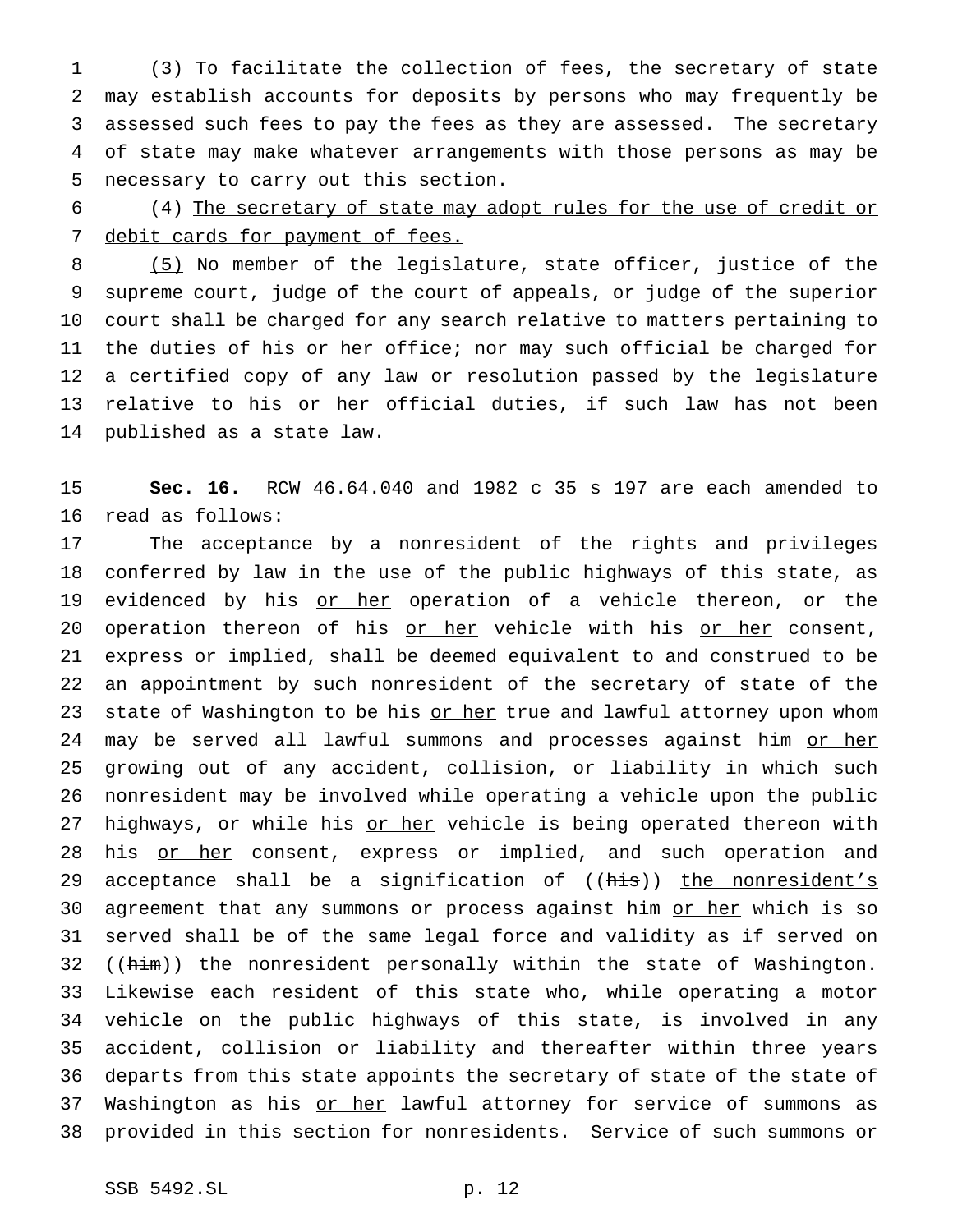(3) To facilitate the collection of fees, the secretary of state may establish accounts for deposits by persons who may frequently be assessed such fees to pay the fees as they are assessed. The secretary of state may make whatever arrangements with those persons as may be necessary to carry out this section.

 (4) The secretary of state may adopt rules for the use of credit or 7 debit cards for payment of fees.

 (5) No member of the legislature, state officer, justice of the supreme court, judge of the court of appeals, or judge of the superior court shall be charged for any search relative to matters pertaining to the duties of his or her office; nor may such official be charged for a certified copy of any law or resolution passed by the legislature relative to his or her official duties, if such law has not been published as a state law.

 **Sec. 16.** RCW 46.64.040 and 1982 c 35 s 197 are each amended to read as follows:

 The acceptance by a nonresident of the rights and privileges conferred by law in the use of the public highways of this state, as 19 evidenced by his or her operation of a vehicle thereon, or the 20 operation thereon of his or her vehicle with his or her consent, express or implied, shall be deemed equivalent to and construed to be an appointment by such nonresident of the secretary of state of the 23 state of Washington to be his or her true and lawful attorney upon whom 24 may be served all lawful summons and processes against him or her growing out of any accident, collision, or liability in which such nonresident may be involved while operating a vehicle upon the public 27 highways, or while his or her vehicle is being operated thereon with 28 his or her consent, express or implied, and such operation and 29 acceptance shall be a signification of ((his)) the nonresident's 30 agreement that any summons or process against him or her which is so served shall be of the same legal force and validity as if served on 32 ((him)) the nonresident personally within the state of Washington. Likewise each resident of this state who, while operating a motor vehicle on the public highways of this state, is involved in any accident, collision or liability and thereafter within three years departs from this state appoints the secretary of state of the state of 37 Washington as his or her lawful attorney for service of summons as provided in this section for nonresidents. Service of such summons or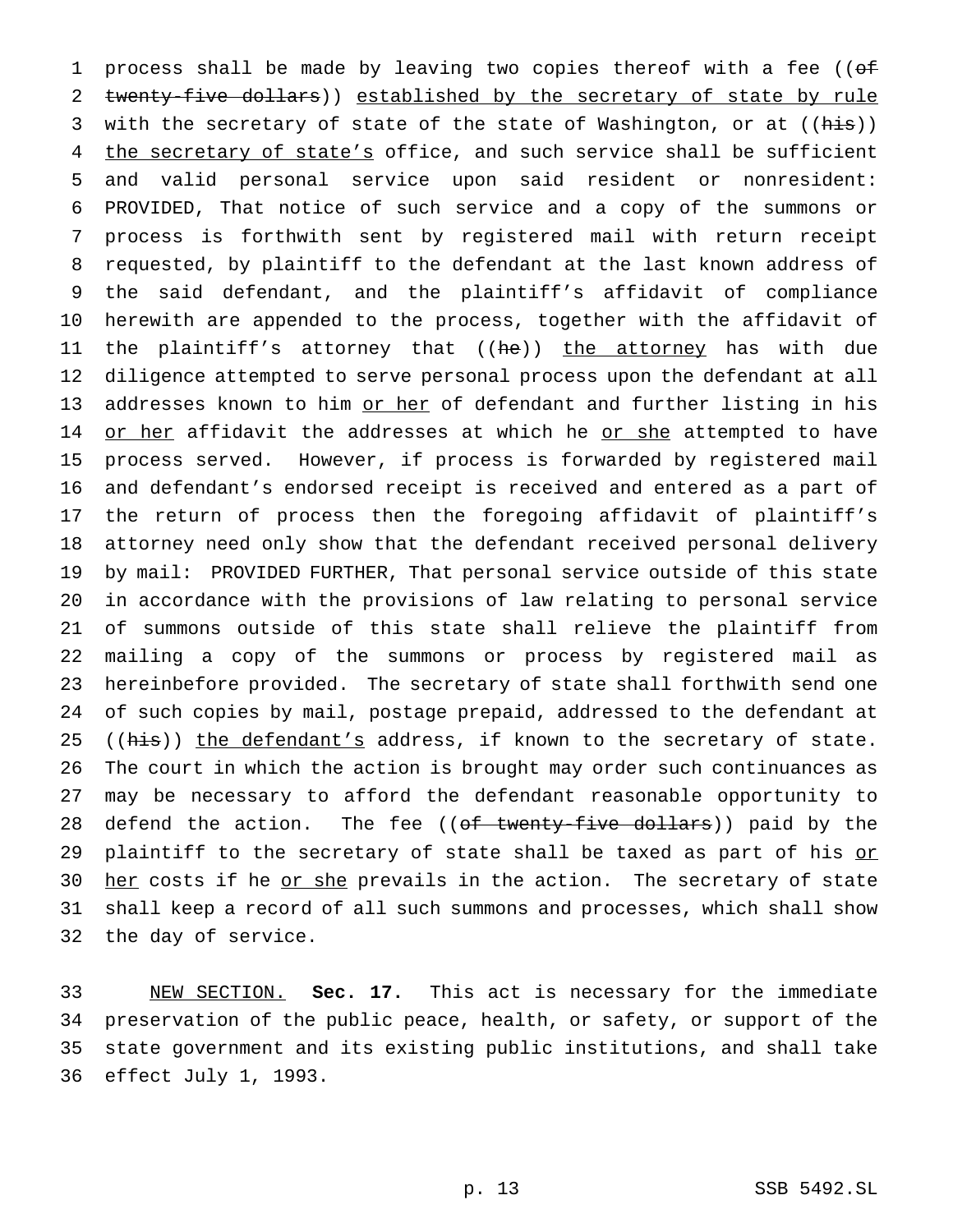1 process shall be made by leaving two copies thereof with a fee ((of 2 twenty-five dollars)) established by the secretary of state by rule 3 with the secretary of state of the state of Washington, or at ((his)) 4 the secretary of state's office, and such service shall be sufficient and valid personal service upon said resident or nonresident: PROVIDED, That notice of such service and a copy of the summons or process is forthwith sent by registered mail with return receipt requested, by plaintiff to the defendant at the last known address of the said defendant, and the plaintiff's affidavit of compliance herewith are appended to the process, together with the affidavit of 11 the plaintiff's attorney that ((he)) the attorney has with due diligence attempted to serve personal process upon the defendant at all 13 addresses known to him or her of defendant and further listing in his 14 or her affidavit the addresses at which he or she attempted to have process served. However, if process is forwarded by registered mail and defendant's endorsed receipt is received and entered as a part of the return of process then the foregoing affidavit of plaintiff's attorney need only show that the defendant received personal delivery by mail: PROVIDED FURTHER, That personal service outside of this state in accordance with the provisions of law relating to personal service of summons outside of this state shall relieve the plaintiff from mailing a copy of the summons or process by registered mail as hereinbefore provided. The secretary of state shall forthwith send one of such copies by mail, postage prepaid, addressed to the defendant at 25 ((his)) the defendant's address, if known to the secretary of state. The court in which the action is brought may order such continuances as may be necessary to afford the defendant reasonable opportunity to 28 defend the action. The fee ((of twenty-five dollars)) paid by the 29 plaintiff to the secretary of state shall be taxed as part of his or 30 her costs if he or she prevails in the action. The secretary of state shall keep a record of all such summons and processes, which shall show the day of service.

 NEW SECTION. **Sec. 17.** This act is necessary for the immediate preservation of the public peace, health, or safety, or support of the state government and its existing public institutions, and shall take effect July 1, 1993.